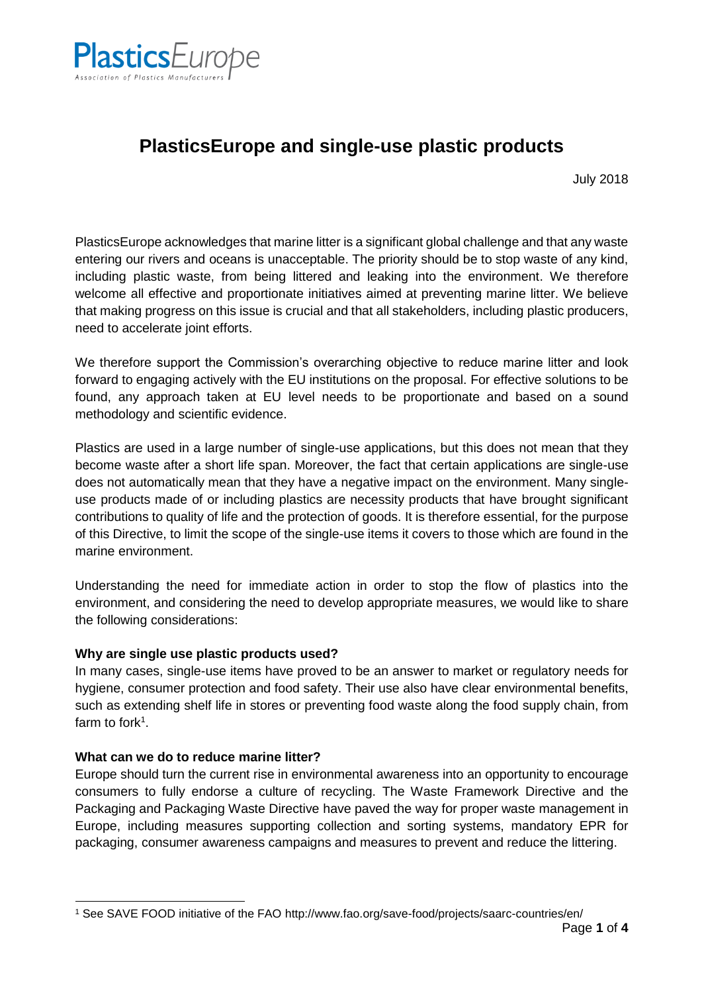

# **PlasticsEurope and single-use plastic products**

July 2018

PlasticsEurope acknowledges that marine litter is a significant global challenge and that any waste entering our rivers and oceans is unacceptable. The priority should be to stop waste of any kind, including plastic waste, from being littered and leaking into the environment. We therefore welcome all effective and proportionate initiatives aimed at preventing marine litter. We believe that making progress on this issue is crucial and that all stakeholders, including plastic producers, need to accelerate joint efforts.

We therefore support the Commission's overarching objective to reduce marine litter and look forward to engaging actively with the EU institutions on the proposal. For effective solutions to be found, any approach taken at EU level needs to be proportionate and based on a sound methodology and scientific evidence.

Plastics are used in a large number of single-use applications, but this does not mean that they become waste after a short life span. Moreover, the fact that certain applications are single-use does not automatically mean that they have a negative impact on the environment. Many singleuse products made of or including plastics are necessity products that have brought significant contributions to quality of life and the protection of goods. It is therefore essential, for the purpose of this Directive, to limit the scope of the single-use items it covers to those which are found in the marine environment.

Understanding the need for immediate action in order to stop the flow of plastics into the environment, and considering the need to develop appropriate measures, we would like to share the following considerations:

# **Why are single use plastic products used?**

In many cases, single-use items have proved to be an answer to market or regulatory needs for hygiene, consumer protection and food safety. Their use also have clear environmental benefits, such as extending shelf life in stores or preventing food waste along the food supply chain, from farm to fork<sup>1</sup>.

# **What can we do to reduce marine litter?**

Europe should turn the current rise in environmental awareness into an opportunity to encourage consumers to fully endorse a culture of recycling. The Waste Framework Directive and the Packaging and Packaging Waste Directive have paved the way for proper waste management in Europe, including measures supporting collection and sorting systems, mandatory EPR for packaging, consumer awareness campaigns and measures to prevent and reduce the littering.

<sup>-</sup><sup>1</sup> See SAVE FOOD initiative of the FAO http://www.fao.org/save-food/projects/saarc-countries/en/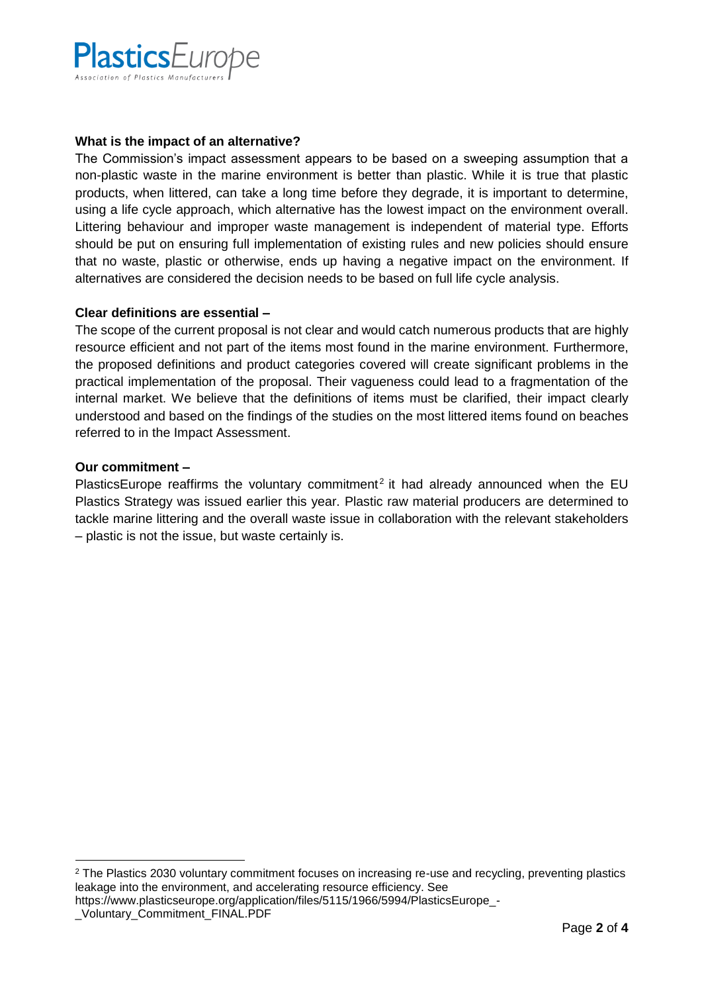

# **What is the impact of an alternative?**

The Commission's impact assessment appears to be based on a sweeping assumption that a non-plastic waste in the marine environment is better than plastic. While it is true that plastic products, when littered, can take a long time before they degrade, it is important to determine, using a life cycle approach, which alternative has the lowest impact on the environment overall. Littering behaviour and improper waste management is independent of material type. Efforts should be put on ensuring full implementation of existing rules and new policies should ensure that no waste, plastic or otherwise, ends up having a negative impact on the environment. If alternatives are considered the decision needs to be based on full life cycle analysis.

# **Clear definitions are essential –**

The scope of the current proposal is not clear and would catch numerous products that are highly resource efficient and not part of the items most found in the marine environment. Furthermore, the proposed definitions and product categories covered will create significant problems in the practical implementation of the proposal. Their vagueness could lead to a fragmentation of the internal market. We believe that the definitions of items must be clarified, their impact clearly understood and based on the findings of the studies on the most littered items found on beaches referred to in the Impact Assessment.

## **Our commitment –**

PlasticsEurope reaffirms the voluntary commitment<sup>2</sup> it had already announced when the EU Plastics Strategy was issued earlier this year. Plastic raw material producers are determined to tackle marine littering and the overall waste issue in collaboration with the relevant stakeholders – plastic is not the issue, but waste certainly is.

https://www.plasticseurope.org/application/files/5115/1966/5994/PlasticsEurope -

<sup>-</sup><sup>2</sup> The Plastics 2030 voluntary commitment focuses on increasing re-use and recycling, preventing plastics leakage into the environment, and accelerating resource efficiency. See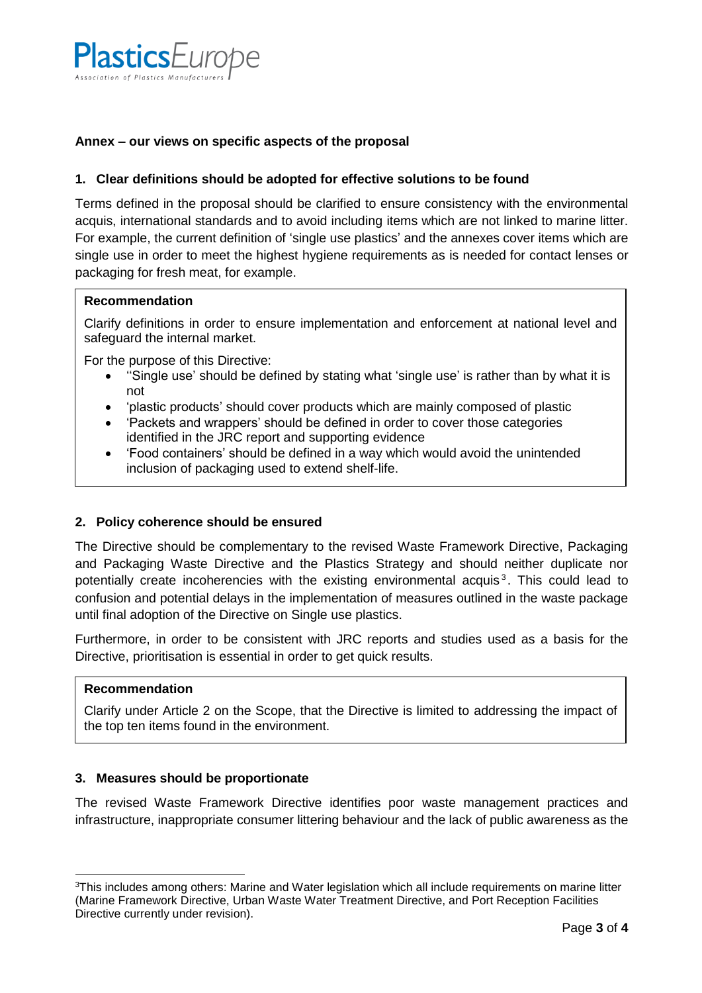

# **Annex – our views on specific aspects of the proposal**

## **1. Clear definitions should be adopted for effective solutions to be found**

Terms defined in the proposal should be clarified to ensure consistency with the environmental acquis, international standards and to avoid including items which are not linked to marine litter. For example, the current definition of 'single use plastics' and the annexes cover items which are single use in order to meet the highest hygiene requirements as is needed for contact lenses or packaging for fresh meat, for example.

#### **Recommendation**

Clarify definitions in order to ensure implementation and enforcement at national level and safeguard the internal market.

For the purpose of this Directive:

- ''Single use' should be defined by stating what 'single use' is rather than by what it is not
- 'plastic products' should cover products which are mainly composed of plastic
- 'Packets and wrappers' should be defined in order to cover those categories identified in the JRC report and supporting evidence
- 'Food containers' should be defined in a way which would avoid the unintended inclusion of packaging used to extend shelf-life.

# **2. Policy coherence should be ensured**

The Directive should be complementary to the revised Waste Framework Directive, Packaging and Packaging Waste Directive and the Plastics Strategy and should neither duplicate nor potentially create incoherencies with the existing environmental acquis<sup>3</sup>. This could lead to confusion and potential delays in the implementation of measures outlined in the waste package until final adoption of the Directive on Single use plastics.

Furthermore, in order to be consistent with JRC reports and studies used as a basis for the Directive, prioritisation is essential in order to get quick results.

#### **Recommendation**

-

Clarify under Article 2 on the Scope, that the Directive is limited to addressing the impact of the top ten items found in the environment.

# **3. Measures should be proportionate**

The revised Waste Framework Directive identifies poor waste management practices and infrastructure, inappropriate consumer littering behaviour and the lack of public awareness as the

<sup>3</sup>This includes among others: Marine and Water legislation which all include requirements on marine litter (Marine Framework Directive, Urban Waste Water Treatment Directive, and Port Reception Facilities Directive currently under revision).